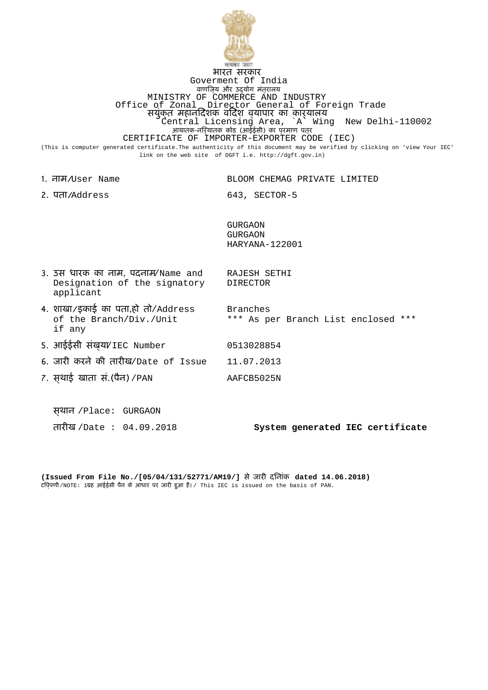

## भारत सरकार Goverment Of India वाणिज्य और उद्योग मंत्रालय MINISTRY OF COMMERCE AND INDUSTRY Office of Zonal Director General of Foreign Trade सयुंक्त महानिदेशक विदेश व्यापार का कार्यालय Central Licensing Area, `A` Wing New Delhi-110002 आयातक-निर्यातक कोड (आईईसी) का प्रमाण पत्र CERTIFICATE OF IMPORTER-EXPORTER CODE (IEC) (This is computer generated certificate.The authenticity of this document may be verified by clicking on 'view Your IEC' link on the web site of DGFT i.e. http://dgft.gov.in)

|        | 1. ਗੁਸ⁄User Name                                                               | BLOOM CHEMAG PRIVATE LIMITED                       |
|--------|--------------------------------------------------------------------------------|----------------------------------------------------|
|        | 2. पता/Address                                                                 | 643, SECTOR-5                                      |
|        |                                                                                | <b>GURGAON</b><br><b>GURGAON</b><br>HARYANA-122001 |
|        | 3. उस धारक का नाम, पदनाम/Name and<br>Designation of the signatory<br>applicant | RAJESH SETHI<br><b>DIRECTOR</b>                    |
| if any | 4. शाखा/इकाई का पता,हो तो/Address<br>of the Branch/Div./Unit                   | Branches<br>*** As per Branch List enclosed ***    |
|        | 5. आईईसी संख़या/IEC Number                                                     | 0513028854                                         |
|        | 6. जारी करने की तारीख/Date of Issue                                            | 11.07.2013                                         |
|        | 7. स़थाई खाता सं.(पैन) / PAN                                                   | AAFCB5025N                                         |
|        |                                                                                |                                                    |
|        | स्थान /Place: GURGAON                                                          |                                                    |
|        | तारीख /Date: 04.09.2018                                                        | System generated IEC certificate                   |

**(Issued From File No./[05/04/131/52771/AM19/]** से जारी दिनांक **dated 14.06.2018)** टिप्पणी/NOTE: 1.यह आईईसी पैन के आधार पर जारी हुआ है। / This IEC is issued on the basis of PAN.